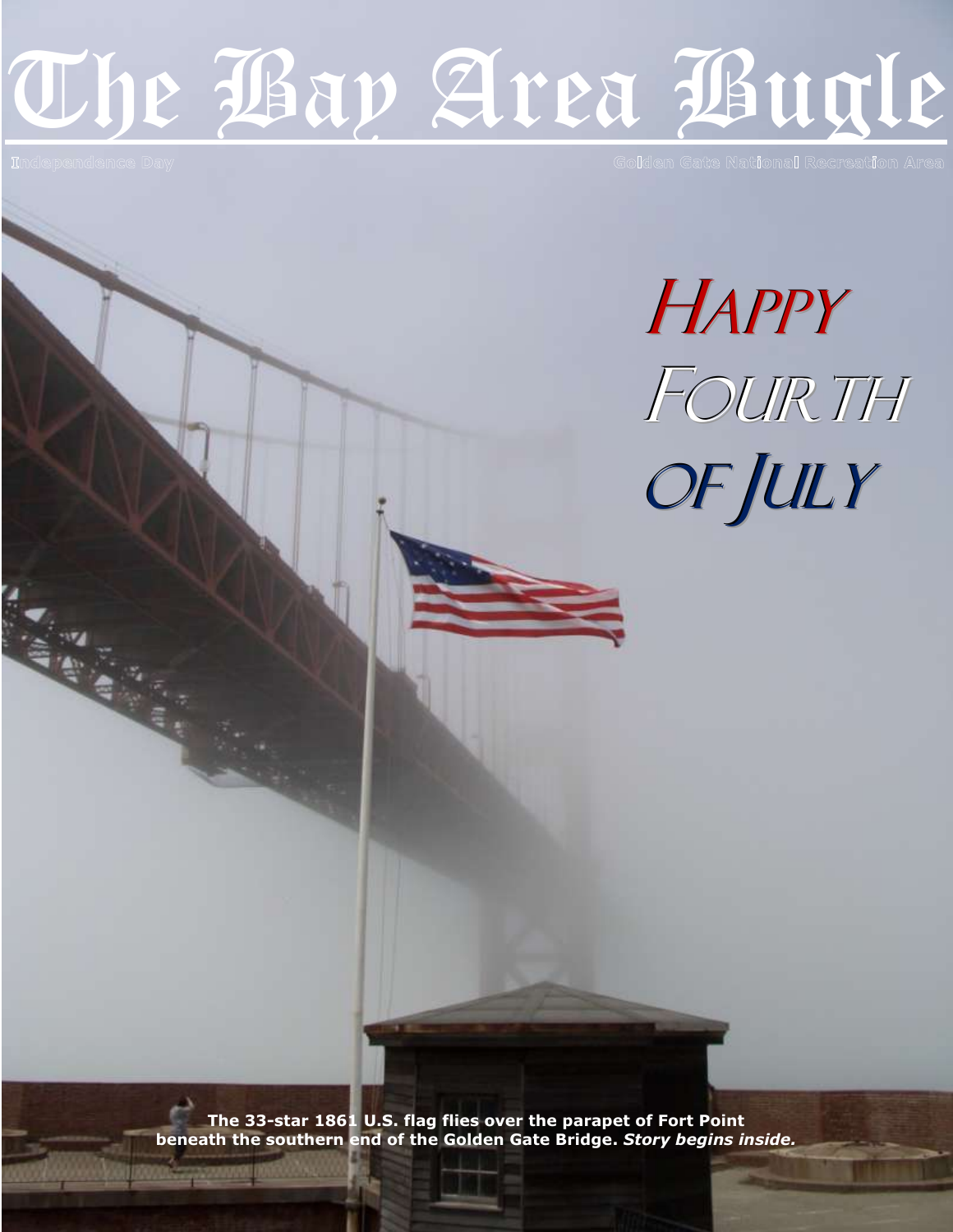# The Bay Area Bugle

Independence Day

Allian Street

Golden Gate National Recreation Area

**HAPPY** FOURTH OF JULY

**The 33-star 1861 U.S. flag flies over the parapet of Fort Point beneath the southern end of the Golden Gate Bridge.** *Story begins inside.*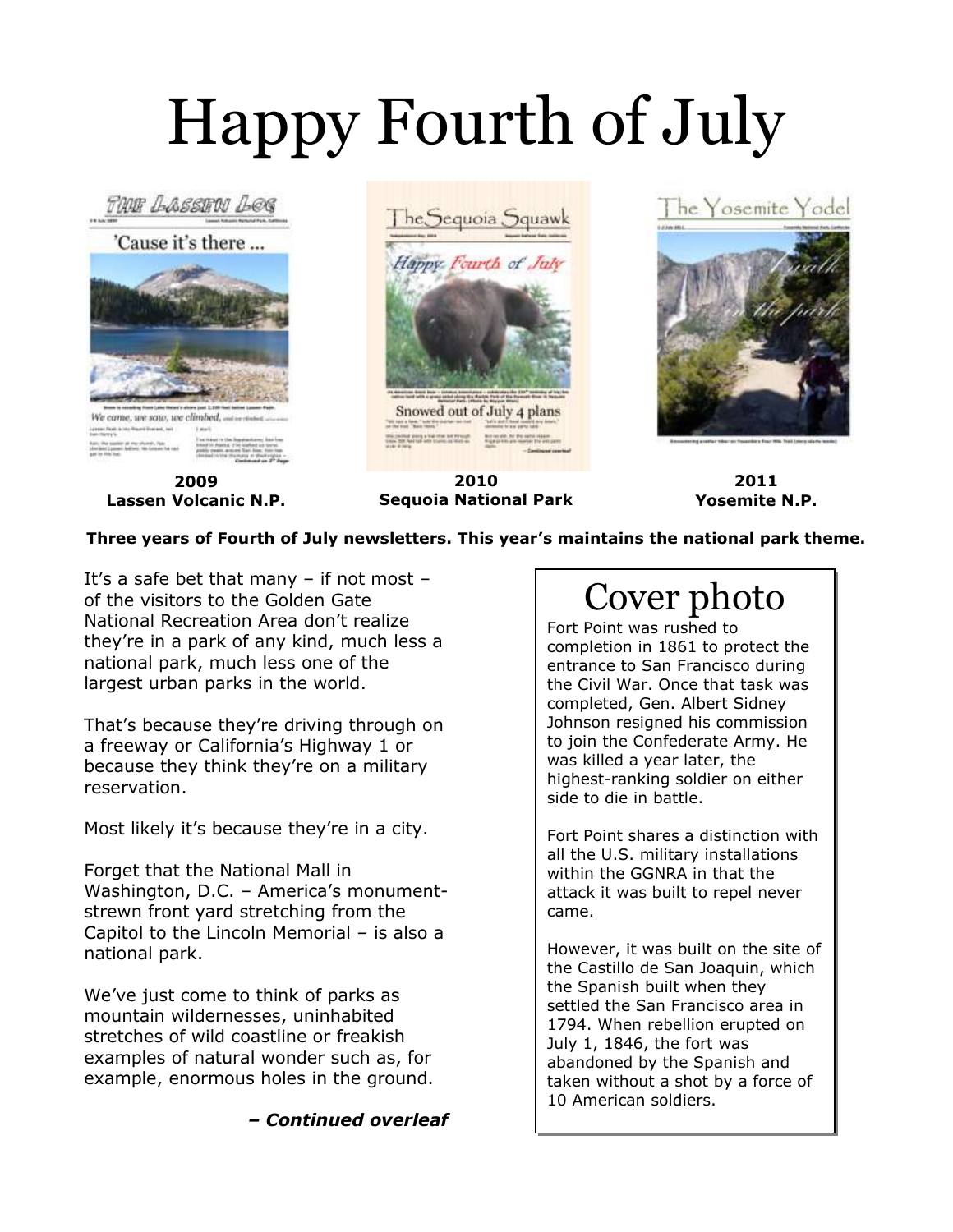## Happy Fourth of July



**Three years of Fourth of July newsletters. This year's maintains the national park theme.**

It's a safe bet that many – if not most – of the visitors to the Golden Gate National Recreation Area don't realize they're in a park of any kind, much less a national park, much less one of the largest urban parks in the world.

That's because they're driving through on a freeway or California's Highway 1 or because they think they're on a military reservation.

Most likely it's because they're in a city.

Forget that the National Mall in Washington, D.C. – America's monumentstrewn front yard stretching from the Capitol to the Lincoln Memorial – is also a national park.

We've just come to think of parks as mountain wildernesses, uninhabited stretches of wild coastline or freakish examples of natural wonder such as, for example, enormous holes in the ground.

*– Continued overleaf*

#### Cover photo

Fort Point was rushed to completion in 1861 to protect the entrance to San Francisco during the Civil War. Once that task was completed, Gen. Albert Sidney Johnson resigned his commission to join the Confederate Army. He was killed a year later, the highest-ranking soldier on either side to die in battle.

Fort Point shares a distinction with all the U.S. military installations within the GGNRA in that the attack it was built to repel never came.

However, it was built on the site of the Castillo de San Joaquin, which the Spanish built when they settled the San Francisco area in 1794. When rebellion erupted on July 1, 1846, the fort was abandoned by the Spanish and taken without a shot by a force of 10 American soldiers.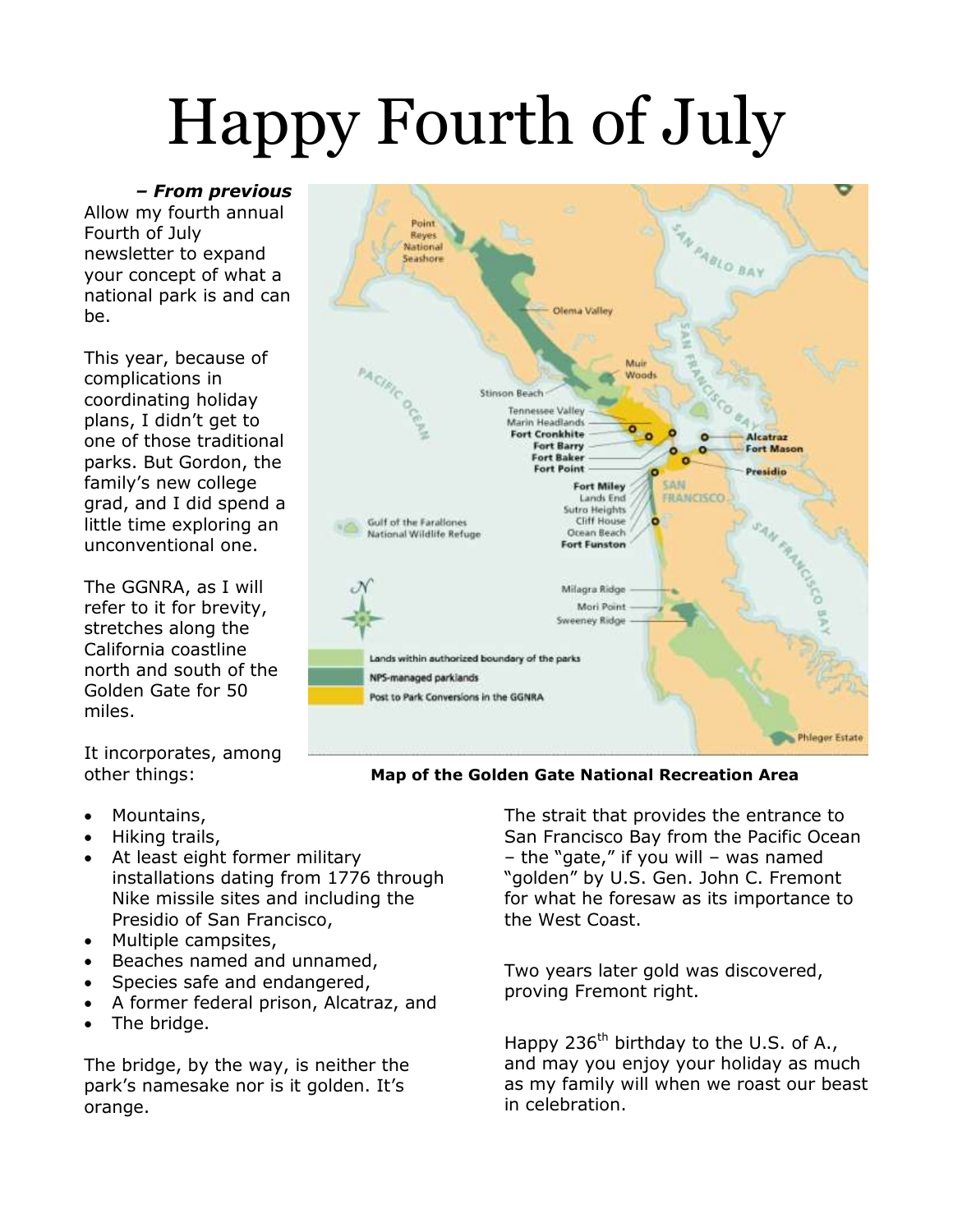## Happy Fourth of July

*– From previous* Allow my fourth annual Fourth of July newsletter to expand your concept of what a national park is and can be.

This year, because of complications in coordinating holiday plans, I didn't get to one of those traditional parks. But Gordon, the family's new college grad, and I did spend a little time exploring an unconventional one.

The GGNRA, as I will refer to it for brevity, stretches along the California coastline north and south of the Golden Gate for 50 miles.

It incorporates, among

- Mountains,
- Hiking trails,
- At least eight former military installations dating from 1776 through Nike missile sites and including the Presidio of San Francisco,
- Multiple campsites,
- Beaches named and unnamed,
- Species safe and endangered,
- A former federal prison, Alcatraz, and
- The bridge.

The bridge, by the way, is neither the park's namesake nor is it golden. It's orange.



other things: **Map of the Golden Gate National Recreation Area**

The strait that provides the entrance to San Francisco Bay from the Pacific Ocean – the "gate," if you will – was named "golden" by U.S. Gen. John C. Fremont for what he foresaw as its importance to the West Coast.

Two years later gold was discovered, proving Fremont right.

Happy 236<sup>th</sup> birthday to the U.S. of A., and may you enjoy your holiday as much as my family will when we roast our beast in celebration.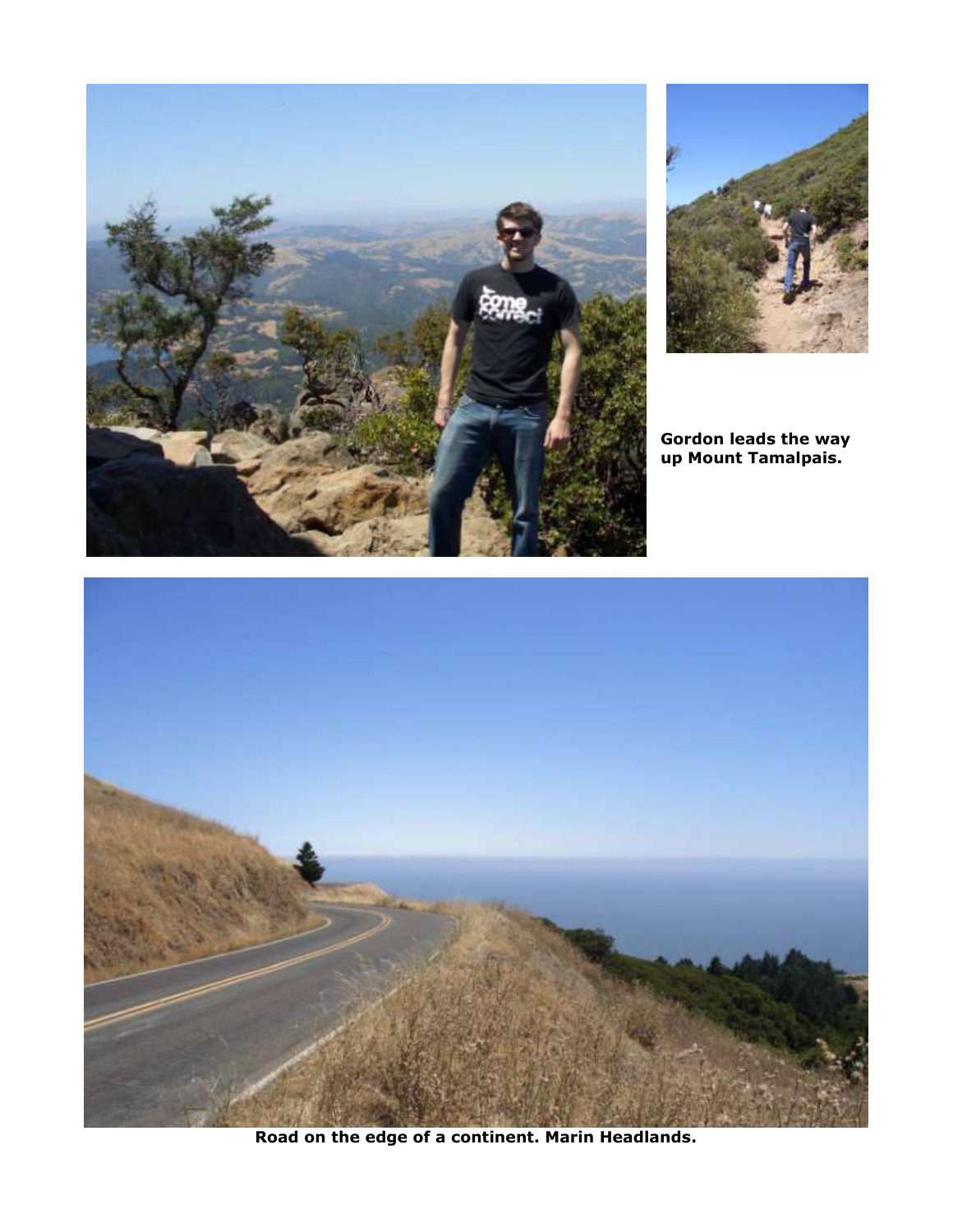



**Gordon leads the way up Mount Tamalpais.**



**Road on the edge of a continent. Marin Headlands.**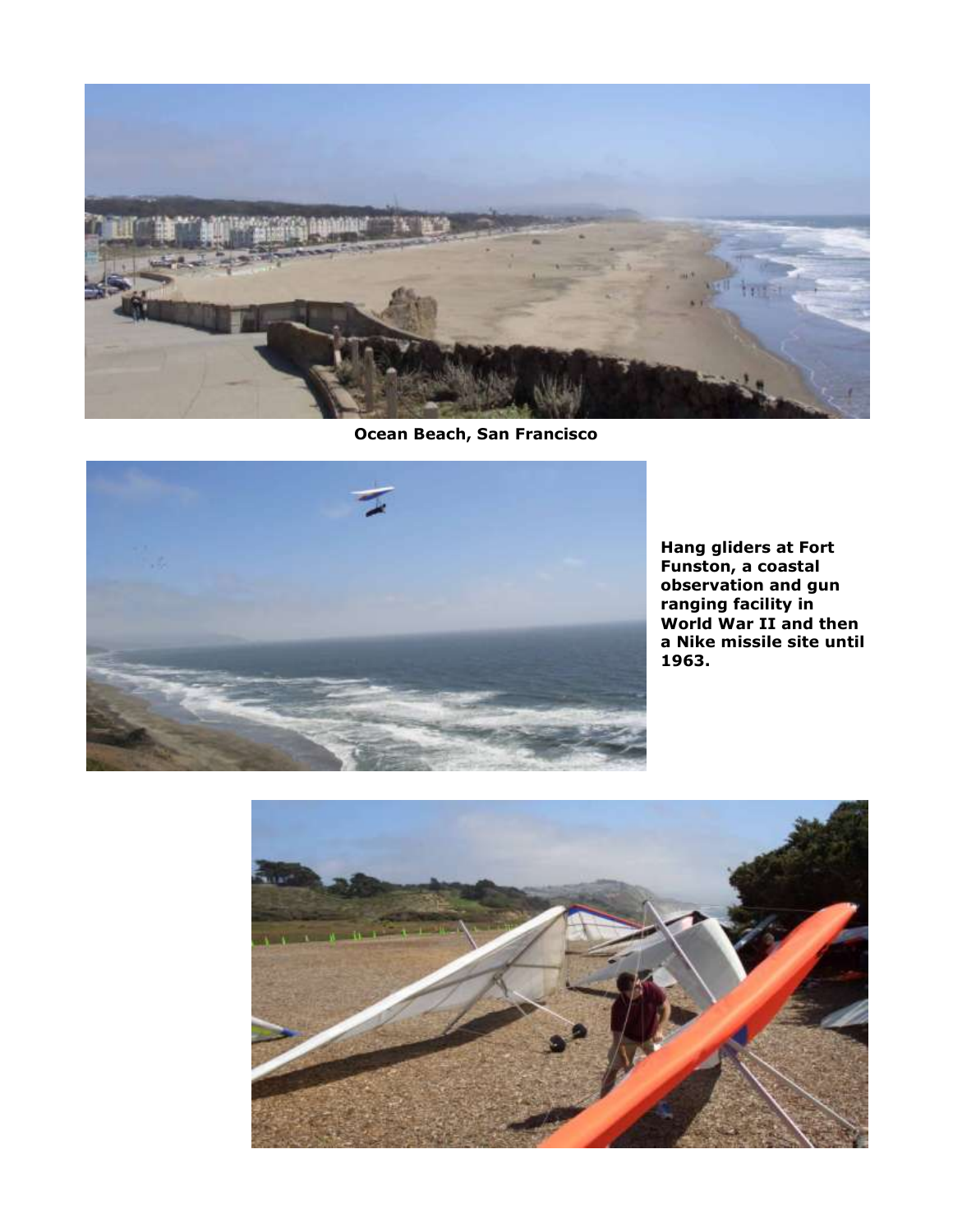

**Ocean Beach, San Francisco**



**Hang gliders at Fort Funston, a coastal observation and gun ranging facility in World War II and then a Nike missile site until 1963.**